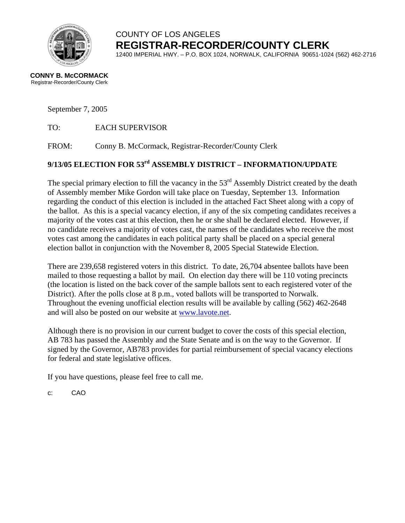

# COUNTY OF LOS ANGELES **REGISTRAR-RECORDER/COUNTY CLERK**

12400 IMPERIAL HWY. – P.O. BOX 1024, NORWALK, CALIFORNIA 90651-1024 (562) 462-2716

#### **CONNY B. McCORMACK** Registrar-Recorder/County Clerk

September 7, 2005

TO: EACH SUPERVISOR

FROM: Conny B. McCormack, Registrar-Recorder/County Clerk

## **9/13/05 ELECTION FOR 53rd ASSEMBLY DISTRICT – INFORMATION/UPDATE**

The special primary election to fill the vacancy in the 53<sup>rd</sup> Assembly District created by the death of Assembly member Mike Gordon will take place on Tuesday, September 13. Information regarding the conduct of this election is included in the attached Fact Sheet along with a copy of the ballot. As this is a special vacancy election, if any of the six competing candidates receives a majority of the votes cast at this election, then he or she shall be declared elected. However, if no candidate receives a majority of votes cast, the names of the candidates who receive the most votes cast among the candidates in each political party shall be placed on a special general election ballot in conjunction with the November 8, 2005 Special Statewide Election.

There are 239,658 registered voters in this district. To date, 26,704 absentee ballots have been mailed to those requesting a ballot by mail. On election day there will be 110 voting precincts (the location is listed on the back cover of the sample ballots sent to each registered voter of the District). After the polls close at 8 p.m., voted ballots will be transported to Norwalk. Throughout the evening unofficial election results will be available by calling (562) 462-2648 and will also be posted on our website at [www.lavote.net.](http://www.lavote.net/)

Although there is no provision in our current budget to cover the costs of this special election, AB 783 has passed the Assembly and the State Senate and is on the way to the Governor. If signed by the Governor, AB783 provides for partial reimbursement of special vacancy elections for federal and state legislative offices.

If you have questions, please feel free to call me.

c: CAO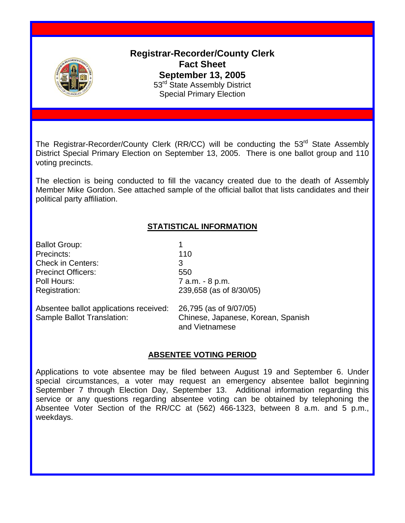

**Registrar-Recorder/County Clerk Fact Sheet September 13, 2005**  53<sup>rd</sup> State Assembly District Special Primary Election

The Registrar-Recorder/County Clerk (RR/CC) will be conducting the 53<sup>rd</sup> State Assembly District Special Primary Election on September 13, 2005. There is one ballot group and 110 voting precincts.

The election is being conducted to fill the vacancy created due to the death of Assembly Member Mike Gordon. See attached sample of the official ballot that lists candidates and their political party affiliation.

### **STATISTICAL INFORMATION**

Ballot Group: 1 Precincts: 110 Check in Centers: 3 Precinct Officers: 550 Poll Hours: 7 a.m. - 8 p.m.

Registration: 239,658 (as of 8/30/05)

Absentee ballot applications received: 26,795 (as of 9/07/05) Sample Ballot Translation: Chinese, Japanese, Korean, Spanish

and Vietnamese

#### **ABSENTEE VOTING PERIOD**

Applications to vote absentee may be filed between August 19 and September 6. Under special circumstances, a voter may request an emergency absentee ballot beginning September 7 through Election Day, September 13. Additional information regarding this service or any questions regarding absentee voting can be obtained by telephoning the Absentee Voter Section of the RR/CC at (562) 466-1323, between 8 a.m. and 5 p.m., weekdays.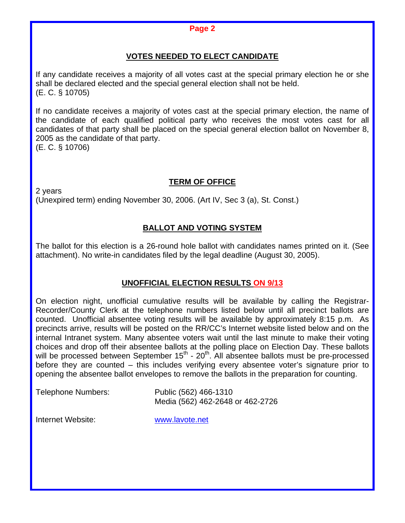#### **Page 2**

### **VOTES NEEDED TO ELECT CANDIDATE**

If any candidate receives a majority of all votes cast at the special primary election he or she shall be declared elected and the special general election shall not be held. (E. C. § 10705)

If no candidate receives a majority of votes cast at the special primary election, the name of the candidate of each qualified political party who receives the most votes cast for all candidates of that party shall be placed on the special general election ballot on November 8, 2005 as the candidate of that party. (E. C. § 10706)

**TERM OF OFFICE**

2 years

(Unexpired term) ending November 30, 2006. (Art IV, Sec 3 (a), St. Const.)

#### **BALLOT AND VOTING SYSTEM**

The ballot for this election is a 26-round hole ballot with candidates names printed on it. (See attachment). No write-in candidates filed by the legal deadline (August 30, 2005).

#### **UNOFFICIAL ELECTION RESULTS ON 9/13**

On election night, unofficial cumulative results will be available by calling the Registrar-Recorder/County Clerk at the telephone numbers listed below until all precinct ballots are counted. Unofficial absentee voting results will be available by approximately 8:15 p.m. As precincts arrive, results will be posted on the RR/CC's Internet website listed below and on the internal Intranet system. Many absentee voters wait until the last minute to make their voting choices and drop off their absentee ballots at the polling place on Election Day. These ballots will be processed between September  $15<sup>th</sup>$  -  $20<sup>th</sup>$ . All absentee ballots must be pre-processed before they are counted – this includes verifying every absentee voter's signature prior to opening the absentee ballot envelopes to remove the ballots in the preparation for counting.

Telephone Numbers: Public (562) 466-1310 Media (562) 462-2648 or 462-2726

Internet Website: www.lavote.net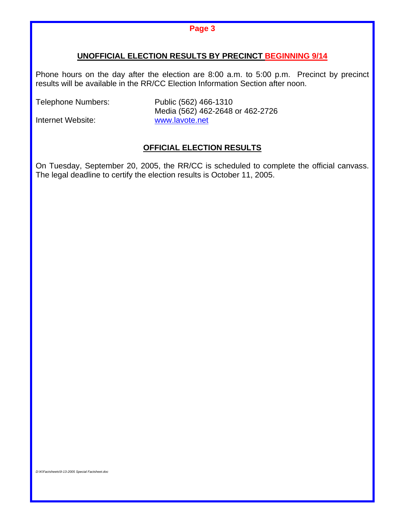#### **Page 3**

#### **UNOFFICIAL ELECTION RESULTS BY PRECINCT BEGINNING 9/14**

Phone hours on the day after the election are 8:00 a.m. to 5:00 p.m. Precinct by precinct results will be available in the RR/CC Election Information Section after noon.

Telephone Numbers: Public (562) 466-1310

 Media (562) 462-2648 or 462-2726 Internet Website: www.lavote.net

#### **OFFICIAL ELECTION RESULTS**

On Tuesday, September 20, 2005, the RR/CC is scheduled to complete the official canvass. The legal deadline to certify the election results is October 11, 2005.